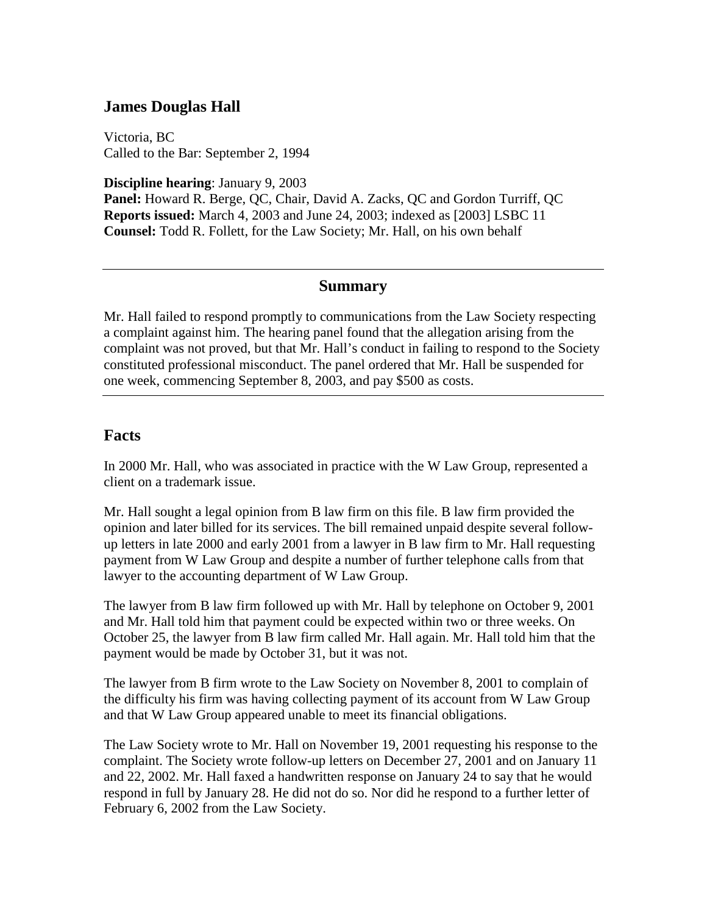## **James Douglas Hall**

Victoria, BC Called to the Bar: September 2, 1994

**Discipline hearing**: January 9, 2003

**Panel:** Howard R. Berge, QC, Chair, David A. Zacks, QC and Gordon Turriff, QC **Reports issued:** March 4, 2003 and June 24, 2003; indexed as [2003] LSBC 11 **Counsel:** Todd R. Follett, for the Law Society; Mr. Hall, on his own behalf

### **Summary**

Mr. Hall failed to respond promptly to communications from the Law Society respecting a complaint against him. The hearing panel found that the allegation arising from the complaint was not proved, but that Mr. Hall's conduct in failing to respond to the Society constituted professional misconduct. The panel ordered that Mr. Hall be suspended for one week, commencing September 8, 2003, and pay \$500 as costs.

### **Facts**

In 2000 Mr. Hall, who was associated in practice with the W Law Group, represented a client on a trademark issue.

Mr. Hall sought a legal opinion from B law firm on this file. B law firm provided the opinion and later billed for its services. The bill remained unpaid despite several followup letters in late 2000 and early 2001 from a lawyer in B law firm to Mr. Hall requesting payment from W Law Group and despite a number of further telephone calls from that lawyer to the accounting department of W Law Group.

The lawyer from B law firm followed up with Mr. Hall by telephone on October 9, 2001 and Mr. Hall told him that payment could be expected within two or three weeks. On October 25, the lawyer from B law firm called Mr. Hall again. Mr. Hall told him that the payment would be made by October 31, but it was not.

The lawyer from B firm wrote to the Law Society on November 8, 2001 to complain of the difficulty his firm was having collecting payment of its account from W Law Group and that W Law Group appeared unable to meet its financial obligations.

The Law Society wrote to Mr. Hall on November 19, 2001 requesting his response to the complaint. The Society wrote follow-up letters on December 27, 2001 and on January 11 and 22, 2002. Mr. Hall faxed a handwritten response on January 24 to say that he would respond in full by January 28. He did not do so. Nor did he respond to a further letter of February 6, 2002 from the Law Society.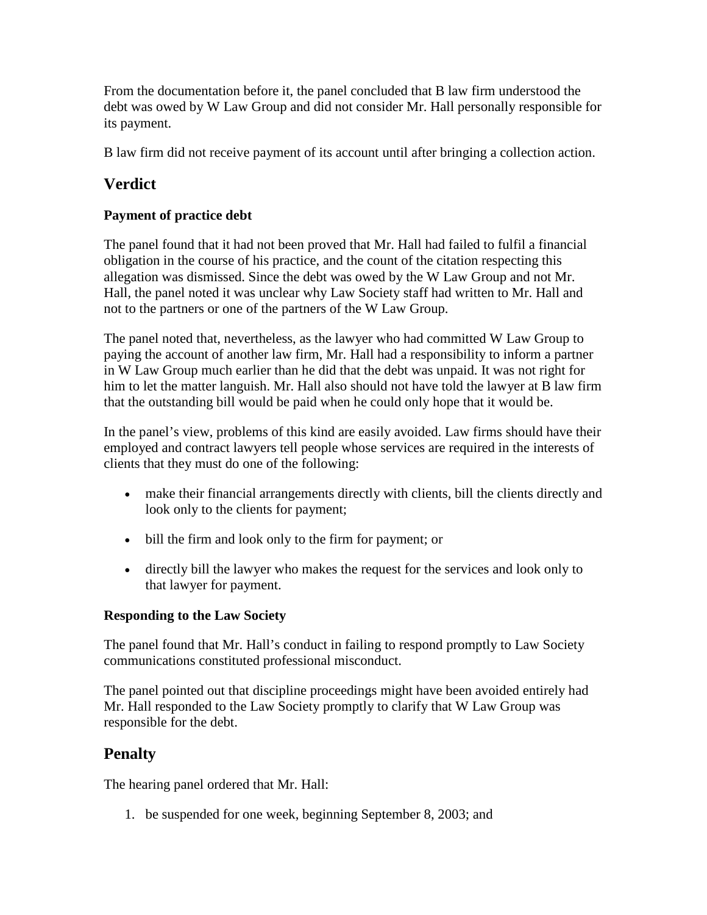From the documentation before it, the panel concluded that B law firm understood the debt was owed by W Law Group and did not consider Mr. Hall personally responsible for its payment.

B law firm did not receive payment of its account until after bringing a collection action.

# **Verdict**

## **Payment of practice debt**

The panel found that it had not been proved that Mr. Hall had failed to fulfil a financial obligation in the course of his practice, and the count of the citation respecting this allegation was dismissed. Since the debt was owed by the W Law Group and not Mr. Hall, the panel noted it was unclear why Law Society staff had written to Mr. Hall and not to the partners or one of the partners of the W Law Group.

The panel noted that, nevertheless, as the lawyer who had committed W Law Group to paying the account of another law firm, Mr. Hall had a responsibility to inform a partner in W Law Group much earlier than he did that the debt was unpaid. It was not right for him to let the matter languish. Mr. Hall also should not have told the lawyer at B law firm that the outstanding bill would be paid when he could only hope that it would be.

In the panel's view, problems of this kind are easily avoided. Law firms should have their employed and contract lawyers tell people whose services are required in the interests of clients that they must do one of the following:

- make their financial arrangements directly with clients, bill the clients directly and look only to the clients for payment;
- bill the firm and look only to the firm for payment; or
- directly bill the lawyer who makes the request for the services and look only to that lawyer for payment.

### **Responding to the Law Society**

The panel found that Mr. Hall's conduct in failing to respond promptly to Law Society communications constituted professional misconduct.

The panel pointed out that discipline proceedings might have been avoided entirely had Mr. Hall responded to the Law Society promptly to clarify that W Law Group was responsible for the debt.

# **Penalty**

The hearing panel ordered that Mr. Hall:

1. be suspended for one week, beginning September 8, 2003; and